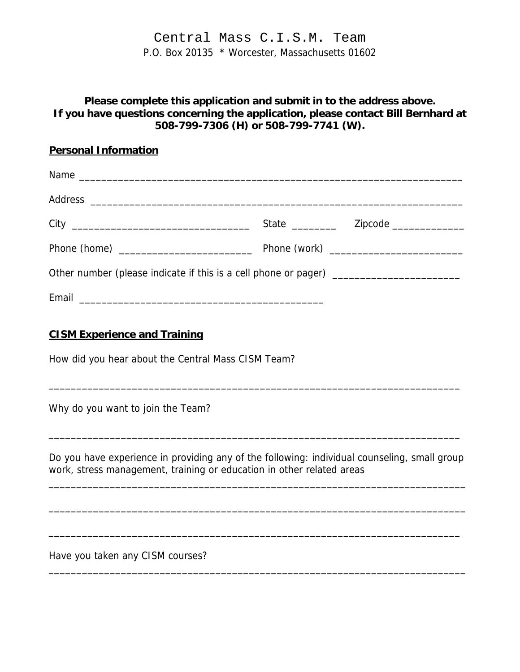Central Mass C.I.S.M. Team P.O. Box 20135 \* Worcester, Massachusetts 01602

## **Please complete this application and submit in to the address above. If you have questions concerning the application, please contact Bill Bernhard at 508-799-7306 (H) or 508-799-7741 (W).**

| <b>Personal Information</b>                                                                                                                                           |  |
|-----------------------------------------------------------------------------------------------------------------------------------------------------------------------|--|
|                                                                                                                                                                       |  |
|                                                                                                                                                                       |  |
|                                                                                                                                                                       |  |
|                                                                                                                                                                       |  |
| Other number (please indicate if this is a cell phone or pager) _______________________                                                                               |  |
| Email 2008 - 2008 - 2010 - 2010 - 2010 - 2010 - 2010 - 2011 - 2012 - 2012 - 2012 - 2012 - 2012 - 201                                                                  |  |
| <b>CISM Experience and Training</b><br>How did you hear about the Central Mass CISM Team?                                                                             |  |
| Why do you want to join the Team?                                                                                                                                     |  |
| Do you have experience in providing any of the following: individual counseling, small group<br>work, stress management, training or education in other related areas |  |
|                                                                                                                                                                       |  |

\_\_\_\_\_\_\_\_\_\_\_\_\_\_\_\_\_\_\_\_\_\_\_\_\_\_\_\_\_\_\_\_\_\_\_\_\_\_\_\_\_\_\_\_\_\_\_\_\_\_\_\_\_\_\_\_\_\_\_\_\_\_\_\_\_\_\_\_\_\_\_\_\_\_\_

Have you taken any CISM courses?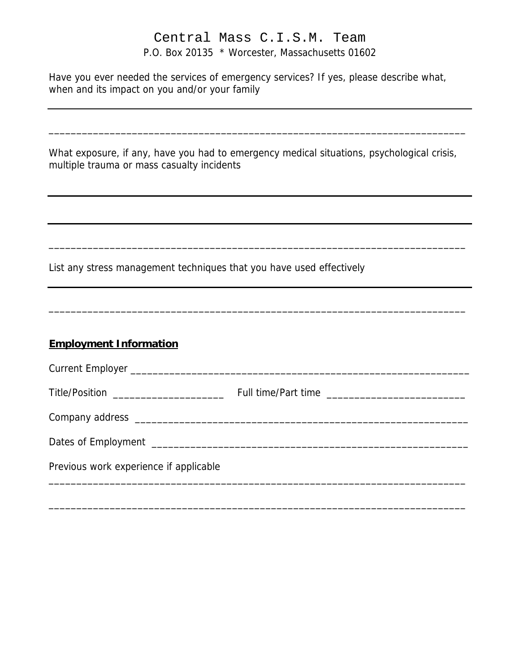## Central Mass C.I.S.M. Team P.O. Box 20135 \* Worcester, Massachusetts 01602

Have you ever needed the services of emergency services? If yes, please describe what, when and its impact on you and/or your family

| What exposure, if any, have you had to emergency medical situations, psychological crisis, |  |  |  |
|--------------------------------------------------------------------------------------------|--|--|--|
| multiple trauma or mass casualty incidents                                                 |  |  |  |

\_\_\_\_\_\_\_\_\_\_\_\_\_\_\_\_\_\_\_\_\_\_\_\_\_\_\_\_\_\_\_\_\_\_\_\_\_\_\_\_\_\_\_\_\_\_\_\_\_\_\_\_\_\_\_\_\_\_\_\_\_\_\_\_\_\_\_\_\_\_\_\_\_\_\_

\_\_\_\_\_\_\_\_\_\_\_\_\_\_\_\_\_\_\_\_\_\_\_\_\_\_\_\_\_\_\_\_\_\_\_\_\_\_\_\_\_\_\_\_\_\_\_\_\_\_\_\_\_\_\_\_\_\_\_\_\_\_\_\_\_\_\_\_\_\_\_\_\_\_\_

\_\_\_\_\_\_\_\_\_\_\_\_\_\_\_\_\_\_\_\_\_\_\_\_\_\_\_\_\_\_\_\_\_\_\_\_\_\_\_\_\_\_\_\_\_\_\_\_\_\_\_\_\_\_\_\_\_\_\_\_\_\_\_\_\_\_\_\_\_\_\_\_\_\_\_

List any stress management techniques that you have used effectively

## **Employment Information**

| Title/Position ______________________  |  |
|----------------------------------------|--|
|                                        |  |
|                                        |  |
| Previous work experience if applicable |  |
|                                        |  |

\_\_\_\_\_\_\_\_\_\_\_\_\_\_\_\_\_\_\_\_\_\_\_\_\_\_\_\_\_\_\_\_\_\_\_\_\_\_\_\_\_\_\_\_\_\_\_\_\_\_\_\_\_\_\_\_\_\_\_\_\_\_\_\_\_\_\_\_\_\_\_\_\_\_\_